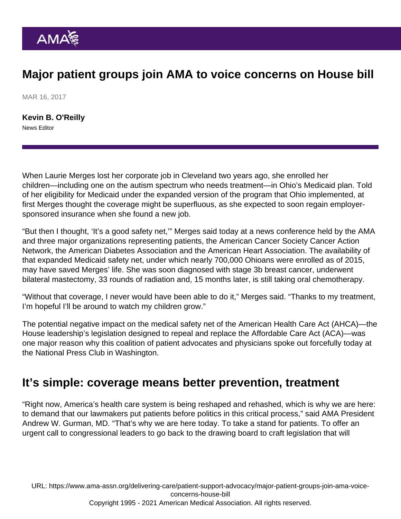## Major patient groups join AMA to voice concerns on House bill

MAR 16, 2017

[Kevin B. O'Reilly](https://www.ama-assn.org/news-leadership-viewpoints/authors-news-leadership-viewpoints/kevin-b-oreilly) News Editor

When Laurie Merges lost her corporate job in Cleveland two years ago, she enrolled her children—including one on the autism spectrum who needs treatment—in Ohio's Medicaid plan. Told of her eligibility for Medicaid under the expanded version of the program that Ohio implemented, at first Merges thought the coverage might be superfluous, as she expected to soon regain employersponsored insurance when she found a new job.

"But then I thought, 'It's a good safety net,'" Merges said today at a news conference held by the AMA and three major organizations representing patients, the American Cancer Society Cancer Action Network, the American Diabetes Association and the American Heart Association. The availability of that expanded Medicaid safety net, under which [nearly 700,000 Ohioans](http://kff.org/interactive/interactive-maps-estimates-of-enrollment-in-aca-marketplaces-and-medicaid-expansion/) were enrolled as of 2015, may have saved Merges' life. She was soon diagnosed with stage 3b breast cancer, underwent bilateral mastectomy, 33 rounds of radiation and, 15 months later, is still taking oral chemotherapy.

"Without that coverage, I never would have been able to do it," Merges said. "Thanks to my treatment, I'm hopeful I'll be around to watch my children grow."

The potential negative impact on the medical safety net of the American Health Care Act (AHCA)—the House leadership's legislation designed to repeal and replace the Affordable Care Act (ACA)—was one major reason why this coalition of patient advocates and physicians spoke out forcefully today at the National Press Club in Washington.

## It's simple: coverage means better prevention, treatment

"Right now, America's health care system is being reshaped and rehashed, which is why we are here: to demand that our lawmakers put patients before politics in this critical process," said AMA President Andrew W. Gurman, MD. "That's why we are here today. To take a stand for patients. To offer an urgent call to congressional leaders to go back to the drawing board to craft legislation that will

URL: [https://www.ama-assn.org/delivering-care/patient-support-advocacy/major-patient-groups-join-ama-voice](https://www.ama-assn.org/delivering-care/patient-support-advocacy/major-patient-groups-join-ama-voice-concerns-house-bill)[concerns-house-bill](https://www.ama-assn.org/delivering-care/patient-support-advocacy/major-patient-groups-join-ama-voice-concerns-house-bill) Copyright 1995 - 2021 American Medical Association. All rights reserved.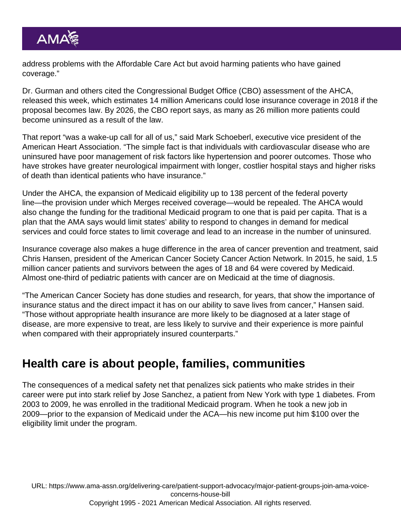address problems with the Affordable Care Act but avoid harming patients who have gained coverage."

Dr. Gurman and others cited the Congressional Budget Office (CBO) assessment of the AHCA, released this week, which estimates 14 million Americans could lose insurance coverage in 2018 if the proposal becomes law. By 2026, the [CBO report](http://linkis.com/www.cbo.gov/sites/de/O7rbc) says, as many as 26 million more patients could become uninsured as a result of the law.

That report "was a wake-up call for all of us," said Mark Schoeberl, executive vice president of the American Heart Association. "The simple fact is that individuals with cardiovascular disease who are uninsured have poor management of risk factors like hypertension and poorer outcomes. Those who have strokes have greater neurological impairment with longer, costlier hospital stays and higher risks of death than identical patients who have insurance."

Under the AHCA, the expansion of Medicaid eligibility up to 138 percent of the federal poverty line—the provision under which Merges received coverage—would be repealed. The AHCA would also change the funding for the traditional Medicaid program to one that is paid per capita. That is a plan that the AMA says would limit states' ability to respond to changes in demand for medical services and could force states to limit coverage and lead to an increase in the number of uninsured.

Insurance coverage also makes a huge difference in the area of cancer prevention and treatment, said Chris Hansen, president of the American Cancer Society Cancer Action Network. In 2015, he said, 1.5 million cancer patients and survivors between the ages of 18 and 64 were covered by Medicaid. Almost one-third of pediatric patients with cancer are on Medicaid at the time of diagnosis.

"The American Cancer Society has done studies and research, for years, that show the importance of insurance status and the direct impact it has on our ability to save lives from cancer," Hansen said. "Those without appropriate health insurance are more likely to be diagnosed at a later stage of disease, are more expensive to treat, are less likely to survive and their experience is more painful when compared with their appropriately insured counterparts."

## Health care is about people, families, communities

The consequences of a medical safety net that penalizes sick patients who make strides in their career were put into stark relief by Jose Sanchez, a patient from New York with type 1 diabetes. From 2003 to 2009, he was enrolled in the traditional Medicaid program. When he took a new job in 2009—prior to the expansion of Medicaid under the ACA—his new income put him \$100 over the eligibility limit under the program.

URL: [https://www.ama-assn.org/delivering-care/patient-support-advocacy/major-patient-groups-join-ama-voice](https://www.ama-assn.org/delivering-care/patient-support-advocacy/major-patient-groups-join-ama-voice-concerns-house-bill)[concerns-house-bill](https://www.ama-assn.org/delivering-care/patient-support-advocacy/major-patient-groups-join-ama-voice-concerns-house-bill) Copyright 1995 - 2021 American Medical Association. All rights reserved.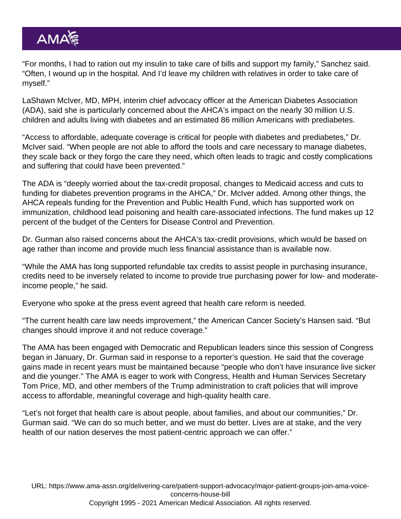"For months, I had to ration out my insulin to take care of bills and support my family," Sanchez said. "Often, I wound up in the hospital. And I'd leave my children with relatives in order to take care of myself."

LaShawn McIver, MD, MPH, interim chief advocacy officer at the American Diabetes Association (ADA), said she is particularly concerned about the AHCA's impact on the nearly 30 million U.S. children and adults living with diabetes and an estimated 86 million Americans with prediabetes.

"Access to affordable, adequate coverage is critical for people with diabetes and prediabetes," Dr. McIver said. "When people are not able to afford the tools and care necessary to manage diabetes, they scale back or they forgo the care they need, which often leads to tragic and costly complications and suffering that could have been prevented."

The ADA is "deeply worried about the tax-credit proposal, changes to Medicaid access and cuts to funding for diabetes prevention programs in the AHCA," Dr. McIver added. Among other things, the AHCA repeals funding for the Prevention and Public Health Fund, which has supported work on immunization, childhood lead poisoning and health care-associated infections. The fund makes up 12 percent of the budget of the Centers for Disease Control and Prevention.

Dr. Gurman also raised concerns about the AHCA's tax-credit provisions, which would be based on age rather than income and provide much less financial assistance than is available now.

"While the AMA has long supported refundable tax credits to assist people in purchasing insurance, credits need to be inversely related to income to provide true purchasing power for low- and moderateincome people," he said.

Everyone who spoke at the press event agreed that health care reform is needed.

"The current health care law needs improvement," the American Cancer Society's Hansen said. "But changes should improve it and not reduce coverage."

The AMA has been engaged with Democratic and Republican leaders since this session of Congress began in January, Dr. Gurman said in response to a reporter's question. He said that the coverage gains made in recent years must be maintained because "people who don't have insurance live sicker and die younger." The AMA is eager to work with Congress, Health and Human Services Secretary Tom Price, MD, and other members of the Trump administration to craft policies that will improve access to affordable, meaningful coverage and high-quality health care.

"Let's not forget that health care is about people, about families, and about our communities," Dr. Gurman said. "We can do so much better, and we must do better. Lives are at stake, and the very health of our nation deserves the most patient-centric approach we can offer."

URL: [https://www.ama-assn.org/delivering-care/patient-support-advocacy/major-patient-groups-join-ama-voice](https://www.ama-assn.org/delivering-care/patient-support-advocacy/major-patient-groups-join-ama-voice-concerns-house-bill)[concerns-house-bill](https://www.ama-assn.org/delivering-care/patient-support-advocacy/major-patient-groups-join-ama-voice-concerns-house-bill) Copyright 1995 - 2021 American Medical Association. All rights reserved.